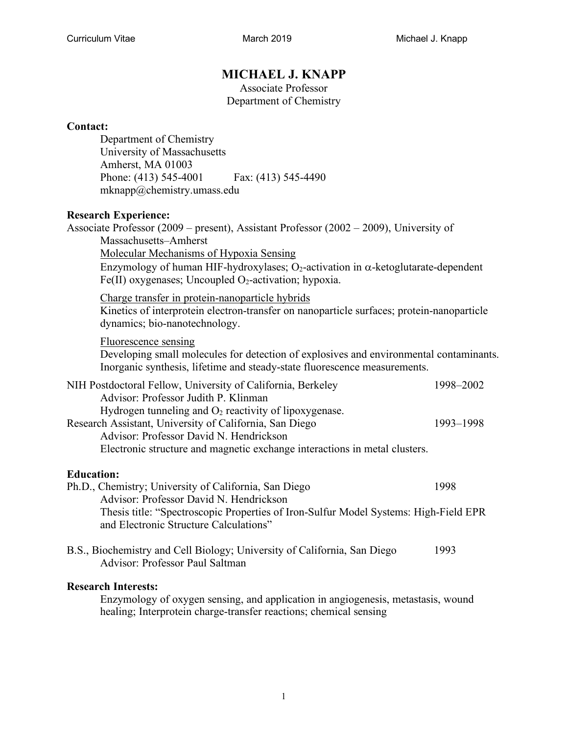# **MICHAEL J. KNAPP**

Associate Professor Department of Chemistry

### **Contact:**

Department of Chemistry University of Massachusetts Amherst, MA 01003 Phone: (413) 545-4001 Fax: (413) 545-4490 mknapp@chemistry.umass.edu

## **Research Experience:**

| Research Experience:<br>Associate Professor (2009 – present), Assistant Professor (2002 – 2009), University of                                                                                                                                                                       |           |
|--------------------------------------------------------------------------------------------------------------------------------------------------------------------------------------------------------------------------------------------------------------------------------------|-----------|
| Massachusetts-Amherst                                                                                                                                                                                                                                                                |           |
| <b>Molecular Mechanisms of Hypoxia Sensing</b>                                                                                                                                                                                                                                       |           |
| Enzymology of human HIF-hydroxylases; O <sub>2</sub> -activation in $\alpha$ -ketoglutarate-dependent<br>Fe(II) oxygenases; Uncoupled $O_2$ -activation; hypoxia.                                                                                                                    |           |
| Charge transfer in protein-nanoparticle hybrids<br>Kinetics of interprotein electron-transfer on nanoparticle surfaces; protein-nanoparticle<br>dynamics; bio-nanotechnology.                                                                                                        |           |
| <b>Fluorescence sensing</b><br>Developing small molecules for detection of explosives and environmental contaminants.<br>Inorganic synthesis, lifetime and steady-state fluorescence measurements.                                                                                   |           |
| NIH Postdoctoral Fellow, University of California, Berkeley                                                                                                                                                                                                                          | 1998-2002 |
| Advisor: Professor Judith P. Klinman<br>Hydrogen tunneling and $O_2$ reactivity of lipoxygenase.<br>Research Assistant, University of California, San Diego<br>Advisor: Professor David N. Hendrickson<br>Electronic structure and magnetic exchange interactions in metal clusters. | 1993-1998 |
|                                                                                                                                                                                                                                                                                      |           |
| <b>Education:</b>                                                                                                                                                                                                                                                                    |           |
| Ph.D., Chemistry; University of California, San Diego                                                                                                                                                                                                                                | 1998      |
| Advisor: Professor David N. Hendrickson<br>Thesis title: "Spectroscopic Properties of Iron-Sulfur Model Systems: High-Field EPR<br>and Electronic Structure Calculations"                                                                                                            |           |
| B.S., Biochemistry and Cell Biology; University of California, San Diego                                                                                                                                                                                                             | 1993      |

Advisor: Professor Paul Saltman

### **Research Interests:**

Enzymology of oxygen sensing, and application in angiogenesis, metastasis, wound healing; Interprotein charge-transfer reactions; chemical sensing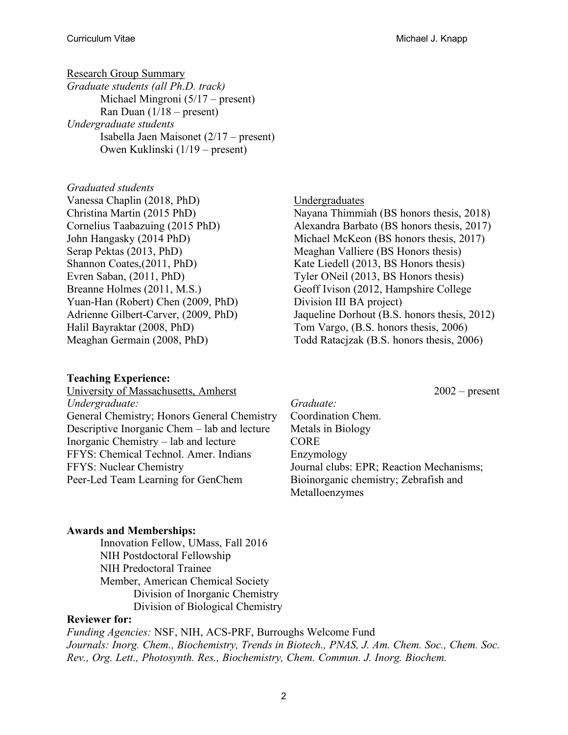Research Group Summary *Graduate students (all Ph.D. track)* Michael Mingroni (5/17 – present) Ran Duan  $(1/18 - \text{present})$ *Undergraduate students* Isabella Jaen Maisonet (2/17 – present) Owen Kuklinski (1/19 – present)

*Graduated students* Vanessa Chaplin (2018, PhD) Christina Martin (2015 PhD) Cornelius Taabazuing (2015 PhD) John Hangasky (2014 PhD) Serap Pektas (2013, PhD) Shannon Coates,(2011, PhD) Evren Saban, (2011, PhD) Breanne Holmes (2011, M.S.) Yuan-Han (Robert) Chen (2009, PhD) Adrienne Gilbert-Carver, (2009, PhD) Halil Bayraktar (2008, PhD) Meaghan Germain (2008, PhD)

### **Teaching Experience:**

University of Massachusetts, Amherst 2002 – present *Undergraduate:*  General Chemistry; Honors General Chemistry Descriptive Inorganic Chem – lab and lecture Inorganic Chemistry – lab and lecture FFYS: Chemical Technol. Amer. Indians FFYS: Nuclear Chemistry Peer-Led Team Learning for GenChem

Undergraduates Nayana Thimmiah (BS honors thesis, 2018) Alexandra Barbato (BS honors thesis, 2017) Michael McKeon (BS honors thesis, 2017) Meaghan Valliere (BS Honors thesis) Kate Liedell (2013, BS Honors thesis) Tyler ONeil (2013, BS Honors thesis) Geoff Ivison (2012, Hampshire College

Division III BA project) Jaqueline Dorhout (B.S. honors thesis, 2012) Tom Vargo, (B.S. honors thesis, 2006) Todd Ratacjzak (B.S. honors thesis, 2006)

*Graduate:*  Coordination Chem. Metals in Biology CORE Enzymology Journal clubs: EPR; Reaction Mechanisms; Bioinorganic chemistry; Zebrafish and Metalloenzymes

### **Awards and Memberships:**

Innovation Fellow, UMass, Fall 2016 NIH Postdoctoral Fellowship NIH Predoctoral Trainee Member, American Chemical Society Division of Inorganic Chemistry Division of Biological Chemistry

### **Reviewer for:**

*Funding Agencies:* NSF, NIH, ACS-PRF, Burroughs Welcome Fund *Journals: Inorg. Chem., Biochemistry, Trends in Biotech., PNAS, J. Am. Chem. Soc., Chem. Soc. Rev., Org. Lett., Photosynth. Res., Biochemistry, Chem. Commun. J. Inorg. Biochem.*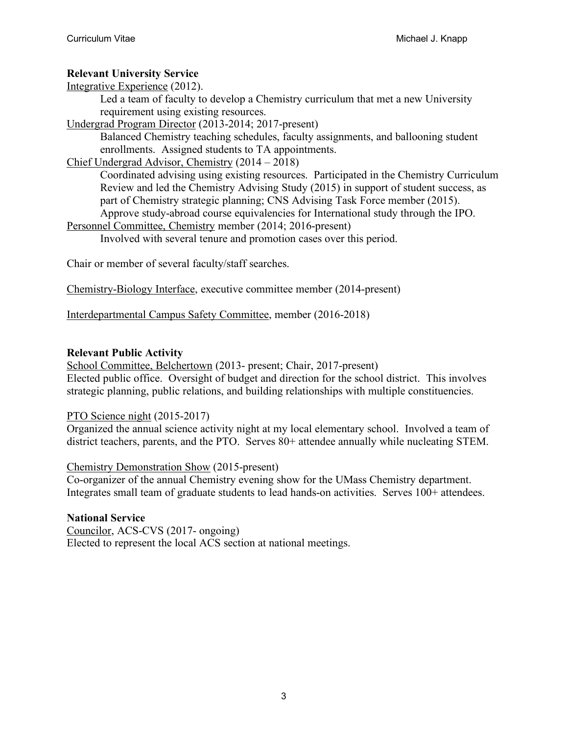## **Relevant University Service**

Integrative Experience (2012).

Led a team of faculty to develop a Chemistry curriculum that met a new University requirement using existing resources.

Undergrad Program Director (2013-2014; 2017-present)

Balanced Chemistry teaching schedules, faculty assignments, and ballooning student enrollments. Assigned students to TA appointments.

## Chief Undergrad Advisor, Chemistry (2014 – 2018)

Coordinated advising using existing resources. Participated in the Chemistry Curriculum Review and led the Chemistry Advising Study (2015) in support of student success, as part of Chemistry strategic planning; CNS Advising Task Force member (2015). Approve study-abroad course equivalencies for International study through the IPO.

Personnel Committee, Chemistry member (2014; 2016-present)

Involved with several tenure and promotion cases over this period.

Chair or member of several faculty/staff searches.

Chemistry-Biology Interface, executive committee member (2014-present)

Interdepartmental Campus Safety Committee, member (2016-2018)

## **Relevant Public Activity**

School Committee, Belchertown (2013- present; Chair, 2017-present) Elected public office. Oversight of budget and direction for the school district. This involves strategic planning, public relations, and building relationships with multiple constituencies.

## PTO Science night (2015-2017)

Organized the annual science activity night at my local elementary school. Involved a team of district teachers, parents, and the PTO. Serves 80+ attendee annually while nucleating STEM.

Chemistry Demonstration Show (2015-present)

Co-organizer of the annual Chemistry evening show for the UMass Chemistry department. Integrates small team of graduate students to lead hands-on activities. Serves 100+ attendees.

## **National Service**

Councilor, ACS-CVS (2017- ongoing) Elected to represent the local ACS section at national meetings.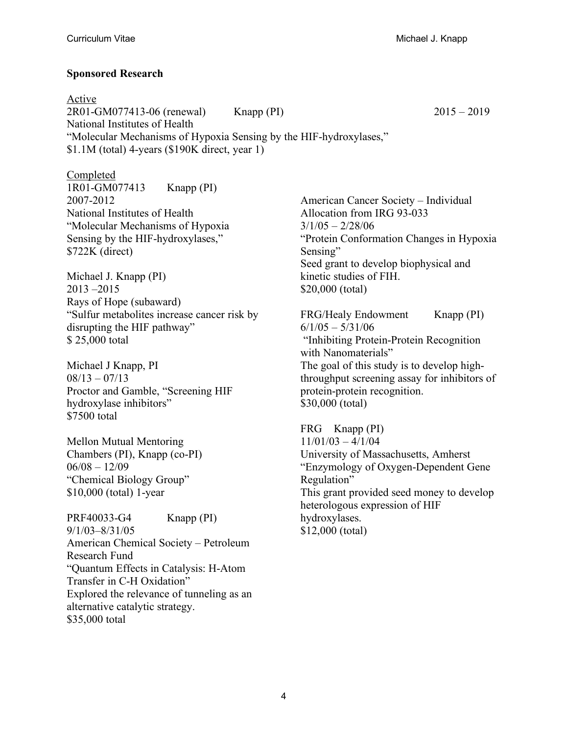### **Sponsored Research**

Active 2R01-GM077413-06 (renewal) Knapp (PI) 2015 – 2019 National Institutes of Health "Molecular Mechanisms of Hypoxia Sensing by the HIF-hydroxylases," \$1.1M (total) 4-years (\$190K direct, year 1)

Completed 1R01-GM077413 Knapp (PI) 2007-2012 National Institutes of Health "Molecular Mechanisms of Hypoxia Sensing by the HIF-hydroxylases," \$722K (direct)

Michael J. Knapp (PI) 2013 –2015 Rays of Hope (subaward) "Sulfur metabolites increase cancer risk by disrupting the HIF pathway" \$ 25,000 total

Michael J Knapp, PI  $08/13 - 07/13$ Proctor and Gamble, "Screening HIF hydroxylase inhibitors" \$7500 total

Mellon Mutual Mentoring Chambers (PI), Knapp (co-PI)  $06/08 - 12/09$ "Chemical Biology Group" \$10,000 (total) 1-year

PRF40033-G4 Knapp (PI) 9/1/03–8/31/05 American Chemical Society – Petroleum Research Fund "Quantum Effects in Catalysis: H-Atom Transfer in C-H Oxidation" Explored the relevance of tunneling as an alternative catalytic strategy. \$35,000 total

American Cancer Society – Individual Allocation from IRG 93-033  $3/1/05 - 2/28/06$ "Protein Conformation Changes in Hypoxia Sensing" Seed grant to develop biophysical and kinetic studies of FIH. \$20,000 (total)

FRG/Healy Endowment Knapp (PI)  $6/1/05 - 5/31/06$ "Inhibiting Protein-Protein Recognition with Nanomaterials" The goal of this study is to develop highthroughput screening assay for inhibitors of protein-protein recognition. \$30,000 (total)

FRG Knapp (PI)  $11/01/03 - 4/1/04$ University of Massachusetts, Amherst "Enzymology of Oxygen-Dependent Gene Regulation" This grant provided seed money to develop heterologous expression of HIF hydroxylases. \$12,000 (total)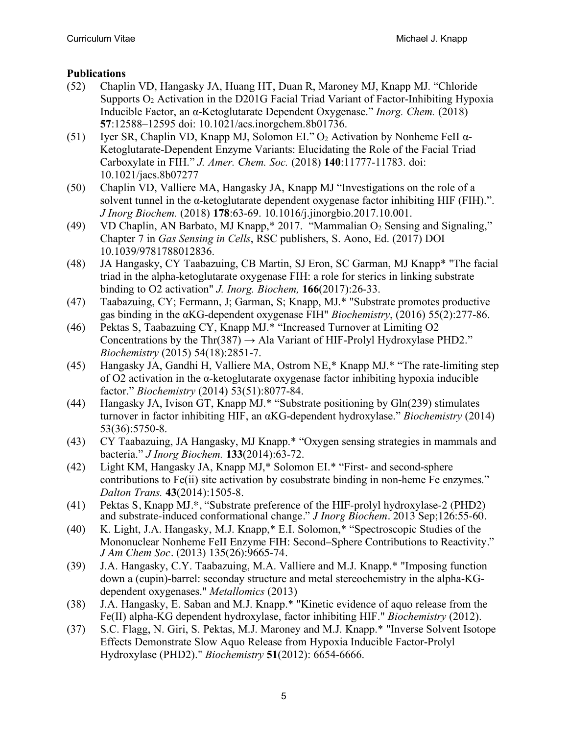## **Publications**

- (52) Chaplin VD, Hangasky JA, Huang HT, Duan R, Maroney MJ, Knapp MJ. "Chloride Supports  $O_2$  Activation in the D201G Facial Triad Variant of Factor-Inhibiting Hypoxia Inducible Factor, an α-Ketoglutarate Dependent Oxygenase." *Inorg. Chem.* (2018) **57**:12588–12595 doi: 10.1021/acs.inorgchem.8b01736.
- (51) Iyer SR, Chaplin VD, Knapp MJ, Solomon EI."  $O_2$  Activation by Nonheme FeII  $\alpha$ -Ketoglutarate-Dependent Enzyme Variants: Elucidating the Role of the Facial Triad Carboxylate in FIH." *J. Amer. Chem. Soc.* (2018) **140**:11777-11783. doi: 10.1021/jacs.8b07277
- (50) Chaplin VD, Valliere MA, Hangasky JA, Knapp MJ "Investigations on the role of a solvent tunnel in the α-ketoglutarate dependent oxygenase factor inhibiting HIF (FIH).". *J Inorg Biochem.* (2018) **178**:63-69. 10.1016/j.jinorgbio.2017.10.001.
- (49) VD Chaplin, AN Barbato, MJ Knapp,  $*$  2017. "Mammalian  $O_2$  Sensing and Signaling," Chapter 7 in *Gas Sensing in Cells*, RSC publishers, S. Aono, Ed. (2017) DOI 10.1039/9781788012836.
- (48) JA Hangasky, CY Taabazuing, CB Martin, SJ Eron, SC Garman, MJ Knapp\* "The facial triad in the alpha-ketoglutarate oxygenase FIH: a role for sterics in linking substrate binding to O2 activation" *J. Inorg. Biochem,* **166**(2017):26-33.
- (47) Taabazuing, CY; Fermann, J; Garman, S; Knapp, MJ.\* "Substrate promotes productive gas binding in the αKG-dependent oxygenase FIH" *Biochemistry*, (2016) 55(2):277-86.
- (46) Pektas S, Taabazuing CY, Knapp MJ.\* "Increased Turnover at Limiting O2 Concentrations by the Thr(387)  $\rightarrow$  Ala Variant of HIF-Prolyl Hydroxylase PHD2." *Biochemistry* (2015) 54(18):2851-7.
- (45) Hangasky JA, Gandhi H, Valliere MA, Ostrom NE,\* Knapp MJ.\* "The rate-limiting step of O2 activation in the α-ketoglutarate oxygenase factor inhibiting hypoxia inducible factor." *Biochemistry* (2014) 53(51):8077-84.
- (44) Hangasky JA, Ivison GT, Knapp MJ.\* "Substrate positioning by Gln(239) stimulates turnover in factor inhibiting HIF, an αKG-dependent hydroxylase." *Biochemistry* (2014) 53(36):5750-8.
- (43) CY Taabazuing, JA Hangasky, MJ Knapp.\* "Oxygen sensing strategies in mammals and bacteria." *J Inorg Biochem.* **133**(2014):63-72.
- (42) Light KM, Hangasky JA, Knapp MJ,\* Solomon EI.\* "First- and second-sphere contributions to Fe(ii) site activation by cosubstrate binding in non-heme Fe enzymes." *Dalton Trans.* **43**(2014):1505-8.
- (41) Pektas S, Knapp MJ.\*, "Substrate preference of the HIF-prolyl hydroxylase-2 (PHD2) and substrate-induced conformational change." *J Inorg Biochem.* 2013 Sep;126:55-60.
- (40) K. Light, J.A. Hangasky, M.J. Knapp,\* E.I. Solomon,\* "Spectroscopic Studies of the Mononuclear Nonheme FeII Enzyme FIH: Second–Sphere Contributions to Reactivity." *J Am Chem Soc.* (2013) 135(26):9665-74.
- (39) J.A. Hangasky, C.Y. Taabazuing, M.A. Valliere and M.J. Knapp.\* "Imposing function down a (cupin)-barrel: seconday structure and metal stereochemistry in the alpha-KGdependent oxygenases." *Metallomics* (2013)
- (38) J.A. Hangasky, E. Saban and M.J. Knapp.\* "Kinetic evidence of aquo release from the Fe(II) alpha-KG dependent hydroxylase, factor inhibiting HIF." *Biochemistry* (2012).
- (37) S.C. Flagg, N. Giri, S. Pektas, M.J. Maroney and M.J. Knapp.\* "Inverse Solvent Isotope Effects Demonstrate Slow Aquo Release from Hypoxia Inducible Factor-Prolyl Hydroxylase (PHD2)." *Biochemistry* **51**(2012): 6654-6666.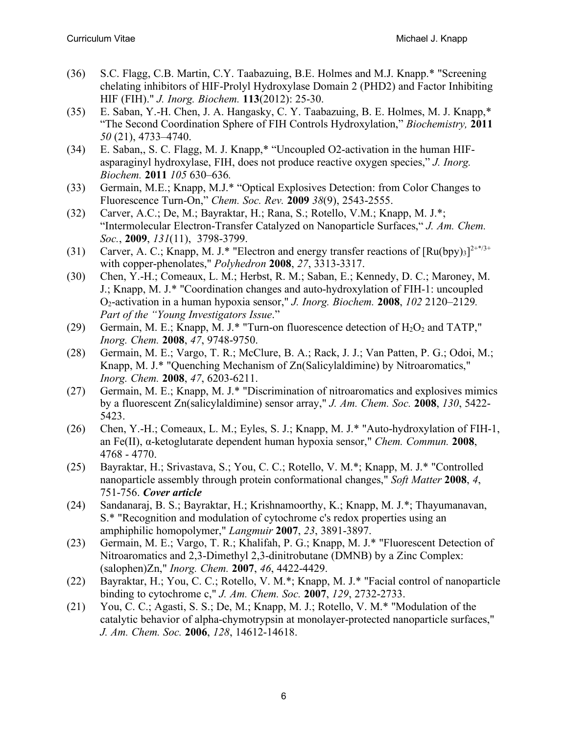- (36) S.C. Flagg, C.B. Martin, C.Y. Taabazuing, B.E. Holmes and M.J. Knapp.\* "Screening chelating inhibitors of HIF-Prolyl Hydroxylase Domain 2 (PHD2) and Factor Inhibiting HIF (FIH)." *J. Inorg. Biochem.* **113**(2012): 25-30.
- (35) E. Saban, Y.-H. Chen, J. A. Hangasky, C. Y. Taabazuing, B. E. Holmes, M. J. Knapp,\* "The Second Coordination Sphere of FIH Controls Hydroxylation," *Biochemistry,* **2011** *50* (21), 4733–4740.
- (34) E. Saban,, S. C. Flagg, M. J. Knapp,\* "Uncoupled O2-activation in the human HIFasparaginyl hydroxylase, FIH, does not produce reactive oxygen species," *J. Inorg. Biochem.* **2011** *105* 630–636*.*
- (33) Germain, M.E.; Knapp, M.J.\* "Optical Explosives Detection: from Color Changes to Fluorescence Turn-On," *Chem. Soc. Rev.* **2009** *38*(9), 2543-2555.
- (32) Carver, A.C.; De, M.; Bayraktar, H.; Rana, S.; Rotello, V.M.; Knapp, M. J.\*; "Intermolecular Electron-Transfer Catalyzed on Nanoparticle Surfaces," *J. Am. Chem. Soc.*, **2009**, *131*(11), 3798-3799.
- (31) Carver, A. C.; Knapp, M. J.\* "Electron and energy transfer reactions of  $\left[\text{Ru(bpy)}_3\right]^{2+\frac{\pi}{3}+}$ with copper-phenolates," *Polyhedron* **2008**, *27*, 3313-3317.
- (30) Chen, Y.-H.; Comeaux, L. M.; Herbst, R. M.; Saban, E.; Kennedy, D. C.; Maroney, M. J.; Knapp, M. J.\* "Coordination changes and auto-hydroxylation of FIH-1: uncoupled O2-activation in a human hypoxia sensor," *J. Inorg. Biochem.* **2008**, *102* 2120–2129*. Part of the "Young Investigators Issue*."
- (29) Germain, M. E.; Knapp, M. J.\* "Turn-on fluorescence detection of  $H_2O_2$  and TATP," *Inorg. Chem.* **2008**, *47*, 9748-9750.
- (28) Germain, M. E.; Vargo, T. R.; McClure, B. A.; Rack, J. J.; Van Patten, P. G.; Odoi, M.; Knapp, M. J.\* "Quenching Mechanism of Zn(Salicylaldimine) by Nitroaromatics," *Inorg. Chem.* **2008**, *47*, 6203-6211.
- (27) Germain, M. E.; Knapp, M. J.\* "Discrimination of nitroaromatics and explosives mimics by a fluorescent Zn(salicylaldimine) sensor array," *J. Am. Chem. Soc.* **2008**, *130*, 5422- 5423.
- (26) Chen, Y.-H.; Comeaux, L. M.; Eyles, S. J.; Knapp, M. J.\* "Auto-hydroxylation of FIH-1, an Fe(II), α-ketoglutarate dependent human hypoxia sensor," *Chem. Commun.* **2008**, 4768 - 4770.
- (25) Bayraktar, H.; Srivastava, S.; You, C. C.; Rotello, V. M.\*; Knapp, M. J.\* "Controlled nanoparticle assembly through protein conformational changes," *Soft Matter* **2008**, *4*, 751-756. *Cover article*
- (24) Sandanaraj, B. S.; Bayraktar, H.; Krishnamoorthy, K.; Knapp, M. J.\*; Thayumanavan, S.\* "Recognition and modulation of cytochrome c's redox properties using an amphiphilic homopolymer," *Langmuir* **2007**, *23*, 3891-3897.
- (23) Germain, M. E.; Vargo, T. R.; Khalifah, P. G.; Knapp, M. J.\* "Fluorescent Detection of Nitroaromatics and 2,3-Dimethyl 2,3-dinitrobutane (DMNB) by a Zinc Complex: (salophen)Zn," *Inorg. Chem.* **2007**, *46*, 4422-4429.
- (22) Bayraktar, H.; You, C. C.; Rotello, V. M.\*; Knapp, M. J.\* "Facial control of nanoparticle binding to cytochrome c," *J. Am. Chem. Soc.* **2007**, *129*, 2732-2733.
- (21) You, C. C.; Agasti, S. S.; De, M.; Knapp, M. J.; Rotello, V. M.\* "Modulation of the catalytic behavior of alpha-chymotrypsin at monolayer-protected nanoparticle surfaces," *J. Am. Chem. Soc.* **2006**, *128*, 14612-14618.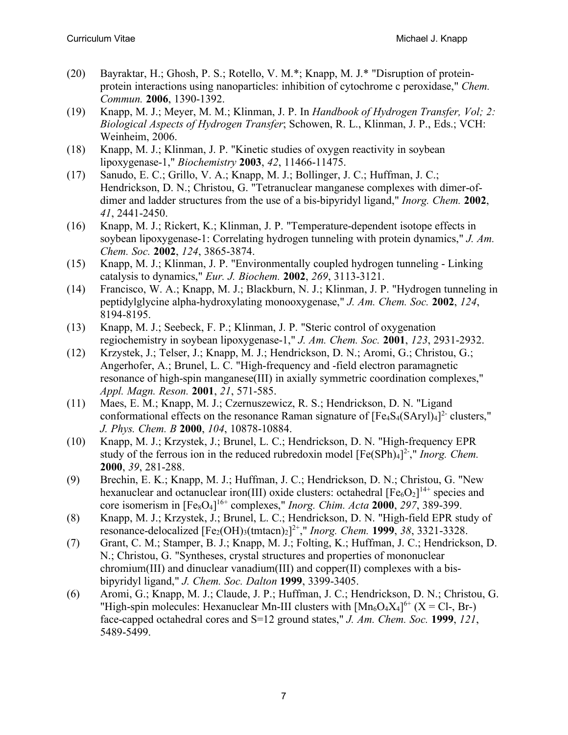- (20) Bayraktar, H.; Ghosh, P. S.; Rotello, V. M.\*; Knapp, M. J.\* "Disruption of proteinprotein interactions using nanoparticles: inhibition of cytochrome c peroxidase," *Chem. Commun.* **2006**, 1390-1392.
- (19) Knapp, M. J.; Meyer, M. M.; Klinman, J. P. In *Handbook of Hydrogen Transfer, Vol; 2: Biological Aspects of Hydrogen Transfer*; Schowen, R. L., Klinman, J. P., Eds.; VCH: Weinheim, 2006.
- (18) Knapp, M. J.; Klinman, J. P. "Kinetic studies of oxygen reactivity in soybean lipoxygenase-1," *Biochemistry* **2003**, *42*, 11466-11475.
- (17) Sanudo, E. C.; Grillo, V. A.; Knapp, M. J.; Bollinger, J. C.; Huffman, J. C.; Hendrickson, D. N.; Christou, G. "Tetranuclear manganese complexes with dimer-ofdimer and ladder structures from the use of a bis-bipyridyl ligand," *Inorg. Chem.* **2002**, *41*, 2441-2450.
- (16) Knapp, M. J.; Rickert, K.; Klinman, J. P. "Temperature-dependent isotope effects in soybean lipoxygenase-1: Correlating hydrogen tunneling with protein dynamics," *J. Am. Chem. Soc.* **2002**, *124*, 3865-3874.
- (15) Knapp, M. J.; Klinman, J. P. "Environmentally coupled hydrogen tunneling Linking catalysis to dynamics," *Eur. J. Biochem.* **2002**, *269*, 3113-3121.
- (14) Francisco, W. A.; Knapp, M. J.; Blackburn, N. J.; Klinman, J. P. "Hydrogen tunneling in peptidylglycine alpha-hydroxylating monooxygenase," *J. Am. Chem. Soc.* **2002**, *124*, 8194-8195.
- (13) Knapp, M. J.; Seebeck, F. P.; Klinman, J. P. "Steric control of oxygenation regiochemistry in soybean lipoxygenase-1," *J. Am. Chem. Soc.* **2001**, *123*, 2931-2932.
- (12) Krzystek, J.; Telser, J.; Knapp, M. J.; Hendrickson, D. N.; Aromi, G.; Christou, G.; Angerhofer, A.; Brunel, L. C. "High-frequency and -field electron paramagnetic resonance of high-spin manganese(III) in axially symmetric coordination complexes," *Appl. Magn. Reson.* **2001**, *21*, 571-585.
- (11) Maes, E. M.; Knapp, M. J.; Czernuszewicz, R. S.; Hendrickson, D. N. "Ligand conformational effects on the resonance Raman signature of  $[Fe_4S_4(SAryl)_4]^2$  clusters," *J. Phys. Chem. B* **2000**, *104*, 10878-10884.
- (10) Knapp, M. J.; Krzystek, J.; Brunel, L. C.; Hendrickson, D. N. "High-frequency EPR study of the ferrous ion in the reduced rubredoxin model [Fe(SPh)<sub>4</sub>]<sup>2-</sup>," *Inorg. Chem.* **2000**, *39*, 281-288.
- (9) Brechin, E. K.; Knapp, M. J.; Huffman, J. C.; Hendrickson, D. N.; Christou, G. "New hexanuclear and octanuclear iron(III) oxide clusters: octahedral  $[Fe<sub>6</sub>O<sub>2</sub>]$ <sup>14+</sup> species and core isomerism in [Fe8O4] 16+ complexes," *Inorg. Chim. Acta* **2000**, *297*, 389-399.
- (8) Knapp, M. J.; Krzystek, J.; Brunel, L. C.; Hendrickson, D. N. "High-field EPR study of resonance-delocalized [Fe<sub>2</sub>(OH)<sub>3</sub>(tmtacn)<sub>2</sub>]<sup>2+</sup>," *Inorg. Chem.* **1999**, 38, 3321-3328.
- (7) Grant, C. M.; Stamper, B. J.; Knapp, M. J.; Folting, K.; Huffman, J. C.; Hendrickson, D. N.; Christou, G. "Syntheses, crystal structures and properties of mononuclear chromium(III) and dinuclear vanadium(III) and copper(II) complexes with a bisbipyridyl ligand," *J. Chem. Soc. Dalton* **1999**, 3399-3405.
- (6) Aromi, G.; Knapp, M. J.; Claude, J. P.; Huffman, J. C.; Hendrickson, D. N.; Christou, G. "High-spin molecules: Hexanuclear Mn-III clusters with  $[Mn_6O_4X_4]^{6+}$  (X = Cl-, Br-) face-capped octahedral cores and S=12 ground states," *J. Am. Chem. Soc.* **1999**, *121*, 5489-5499.